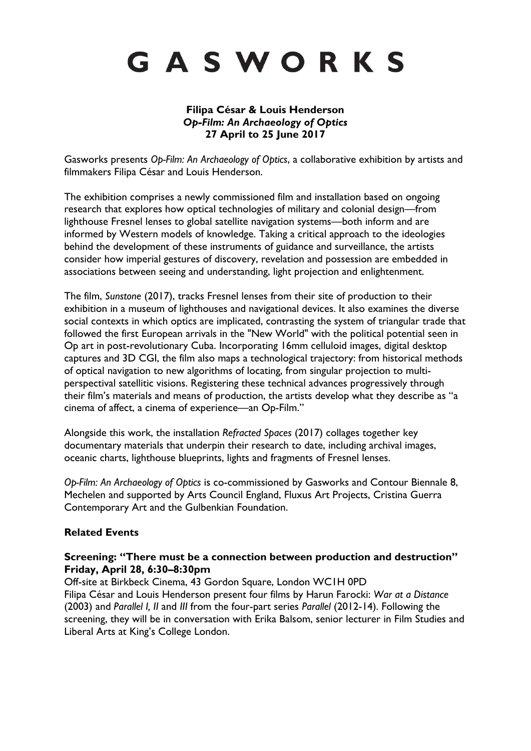# GASWORKS

## **Filipa César & Louis Henderson** *Op-Film: An Archaeology of Optics* **27 April to 25 June 2017**

Gasworks presents *Op-Film: An Archaeology of Optics*, a collaborative exhibition by artists and filmmakers Filipa César and Louis Henderson.

The exhibition comprises a newly commissioned film and installation based on ongoing research that explores how optical technologies of military and colonial design—from lighthouse Fresnel lenses to global satellite navigation systems—both inform and are informed by Western models of knowledge. Taking a critical approach to the ideologies behind the development of these instruments of guidance and surveillance, the artists consider how imperial gestures of discovery, revelation and possession are embedded in associations between seeing and understanding, light projection and enlightenment.

The film, *Sunstone* (2017), tracks Fresnel lenses from their site of production to their exhibition in a museum of lighthouses and navigational devices. It also examines the diverse social contexts in which optics are implicated, contrasting the system of triangular trade that followed the first European arrivals in the "New World" with the political potential seen in Op art in post-revolutionary Cuba. Incorporating 16mm celluloid images, digital desktop captures and 3D CGI, the film also maps a technological trajectory: from historical methods of optical navigation to new algorithms of locating, from singular projection to multiperspectival satellitic visions. Registering these technical advances progressively through their film's materials and means of production, the artists develop what they describe as "a cinema of affect, a cinema of experience—an Op-Film."

Alongside this work, the installation *Refracted Spaces* (2017) collages together key documentary materials that underpin their research to date, including archival images, oceanic charts, lighthouse blueprints, lights and fragments of Fresnel lenses.

*Op-Film: An Archaeology of Optics* is co-commissioned by Gasworks and Contour Biennale 8, Mechelen and supported by Arts Council England, Fluxus Art Projects, Cristina Guerra Contemporary Art and the Gulbenkian Foundation.

## **Related Events**

## **Screening: "There must be a connection between production and destruction" Friday, April 28, 6:30–8:30pm**

Off-site at Birkbeck Cinema, 43 Gordon Square, London WC1H 0PD Filipa César and Louis Henderson present four films by Harun Farocki: *War at a Distance* (2003) and *Parallel I, II* and *III* from the four-part series *Parallel* (2012-14). Following the screening, they will be in conversation with Erika Balsom, senior lecturer in Film Studies and Liberal Arts at King's College London.